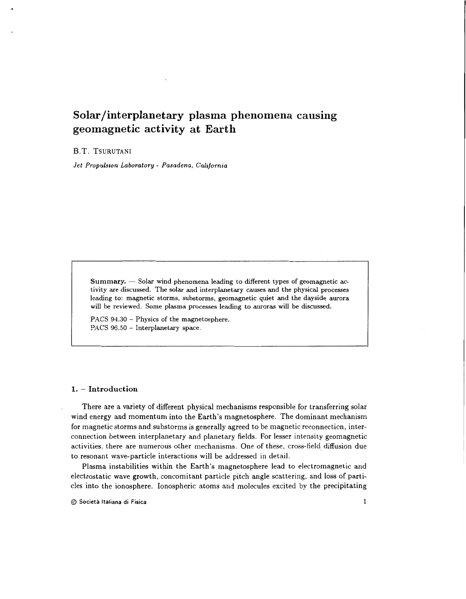# **Solar/interplanetary plasma phenomena causing geomagnetic activity at Earth**

B.T. TSURUTANI

*Jet* **Propulsion** Laboratory - Pasadena, California

**Summary.** — Solar wind phenomena leading to different types of geomagnetic activity are discussed. The solar and interplanetary causes and the physical processes leading to: magnetic storms, substorms, geomagnetic quiet and the dayside aurora will be reviewed. Some plasma processes leading to auroras will be discussed.

PACS **94.30** - Physics of the magnetosphere. PACS 96.50 - Interplanetary space.

# **1.** - **Introduction**

There are a variety of different physical mechanisms responsible for transferring solar wind energy and momentum into the Earth's magnetosphere. The dominant mechanism for magnetic storms and substorms is generally agreed to be magnetic reconnection, interconnection between interplanetary and planetary fields. For lesser intensity geomagnetic activities, there are numerous other mechanisms. One of these, cross-field diffusion due to resonant wave-particle interactions will be addressed in detail.

Plasma instabilities within the Earth's magnetosphere lead to electromagnetic and electrostatic wave growth, concomitant particle pitch angle scattering, and loss of particles into the ionosphere. Ionospheric atoms and molecules excited by the precipitating

@ **Societa ltaliana di Fisica** 1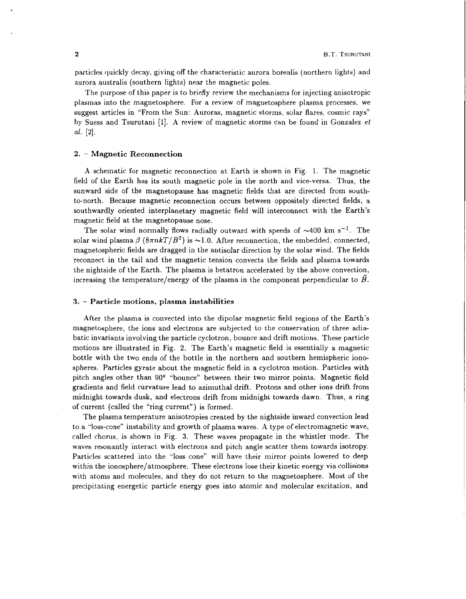particles quickly decay. giving *off* the characteristic aurora borealis (northern lights) and aurora australis (southern lights) near the magnetic poles.

The purpose of this paper is to briefly review the mechanisms for injecting anisotropic plasmas into the magnetosphere. For a review of magnetosphere plasma processes, we suggest articles in "From the Sun: Auroras, magnetic storms, solar flares, cosmic rays" by Suess and Tsurutani [l]. **A** review of magnetic storms can be found in Gonzalez *et al.* **[2].** 

## **2.** - **Magnetic Reconnection**

**A** schematic for magnetic reconnection at Earth is shown in Fig. 1. The magnetic field of the Earth has its south magnetic pole in the north and vice-versa. Thus, the sunward side of the magnetopause has magnetic fields that are directed from southto-north. Because magnetic reconnection occurs between oppositely directed fields, a southwardly oriented interplanetary magnetic field will interconnect with the Earth's magnetic field at the magnetopause nose.

The solar wind normally flows radially outward with speeds of  $\sim 400$  km s<sup>-1</sup>. The solar wind plasma  $\beta$  ( $8\pi nkT/B^2$ ) is  $\sim$ 1.0. After reconnection, the embedded, connected, magnetospheric fields are dragged in the antisolar direction by the solar wind. The fields reconnect in the tail and the magnetic tension convects the fields and plasma towards the nightside of the Earth. The plasma is betatron accelerated by the above convection, normalism the temperature (energy of the plasma in the component perpendicular to  $\vec{B}$ increasing the temperature/energy of the plasma in the component perpendicular to *B.* 

#### **3.** - **Particle motions, plasma instabilities**

After the plasma is convected into the dipolar magnetic field regions of the Earth's magnetosphere, the ions and electrons are subjected to the conservation of three adiabatic invariants involving the particle cyclotron, bounce and drift motions. These particle motions are illustrated in Fig. **2.** The Earth's magnetic field is essentially a magnetic bottle with the two ends of the bottle in the northern and southern hemispheric ionospheres. Particles gyrate about the magnetic field in a cyclotron motion. Particles with pitch angles other than 90' "bounce" between their two mirror points. Magnetic field gradients and field curvature lead to azimuthal drift. Protons and other ions drift from midnight towards dusk, and electrons drift from midnight towards dawn. Thus, a ring of current (called the "ring current") is formed.

The plasma temperature anisotropies created by the nightside inward convection lead to a "loss-cone" instability and growth of plasma waves. A type of electromagnetic wave, called chorus, is shown in Fig. **3.** These waves propagate in the whistler mode. The waves resonantly interact with electrons and pitch angle scatter them towards isotropy. Particles scattered into the "loss cone" will have their mirror points lowered to deep within the ionosphere/atmosphere. These electrons lose their kinetic energy via collisions with atoms and molecules, and they do not return to the magnetosphere. Most of the precipitating energetic particle energy goes into atomic and molecular excitation, and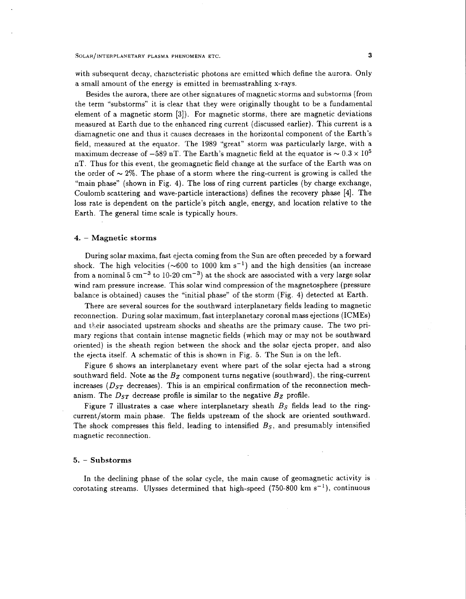with subsequent decay, characteristic photons are emitted which define the aurora. Only a small amount of the energy is emitted in bremsstrahling x-rays.

Besides the aurora, there are other signatures of magnetic storms and substorms (from the term "substorms" it is clear that they were originally thought to be a fundamental element of a magnetic storm **[3]).** For magnetic storms, there are magnetic deviations measured at Earth due to the enhanced ring current (discussed earlier). This current is a diamagnetic one and thus it causes decreases in the horizontal component of the Earth's field, measured at the equator. The 1989 "great" storm was particularly large, with a maximum decrease of  $-589$  nT. The Earth's magnetic field at the equator is  $\sim 0.3 \times 10^5$ nT. Thus for this event, the geomagnetic field change at the surface of the Earth was on the order of  $\sim 2\%$ . The phase of a storm where the ring-current is growing is called the "main phase" (shown in Fig. **4).** The loss of ring current particles (by charge exchange, Coulomb scattering and wave-particle interactions) defines the recovery phase **[4].** The loss rate is dependent on the particle's pitch angle, energy, and location relative to the Earth. The general time scale is typically hours.

#### **4.** - **Magnetic storms**

During solar maxima, fast ejecta coming from the Sun are often preceded by a forward shock. The high velocities ( $\sim 600$  to 1000 km s<sup>-1</sup>) and the high densities (an increase from a nominal 5 cm<sup>-3</sup> to 10-20 cm<sup>-3</sup>) at the shock are associated with a very large solar wind ram pressure increase. This solar wind compression of the magnetosphere (pressure balance is obtained) causes the "initial phase" of the storm (Fig. **4)** detected at Earth.

There are several sources for the southward interplanetary fields leading to magnetic reconnection. During solar maximum, fast interplanetary coronal mass ejections (ICMEs) and bteir associated upstream shocks and sheaths are the primary cause. The two primary regions that contain intense magnetic fields (which may or may not be southward oriented) is the sheath region between the shock and the solar ejecta proper, and also the ejecta itself. **A** schematic of this is shown in Fig. 5. The Sun is on the left.

Figure 6 shows an interplanetary event where part of the solar ejecta had a strong southward field. Note as the *Bz* component turns negative (southward), the ring-current increases  $(D_{ST}$  decreases). This is an empirical confirmation of the reconnection mechanism. The  $D_{ST}$  decrease profile is similar to the negative  $B_Z$  profile.

Figure 7 illustrates a case where interplanetary sheath *Bs* fields lead to the ringcurrent/storm main phase. The fields upstream of the shock are oriented southward. The shock compresses this field, leading to intensified *Bs,* and presumably intensified magnetic reconnection.

#### **5.** - **Substorms**

In the declining phase of the solar cycle, the main cause of geomagnetic activity is corotating streams. Ulysses determined that high-speed (750-800 km s<sup>-1</sup>), continuous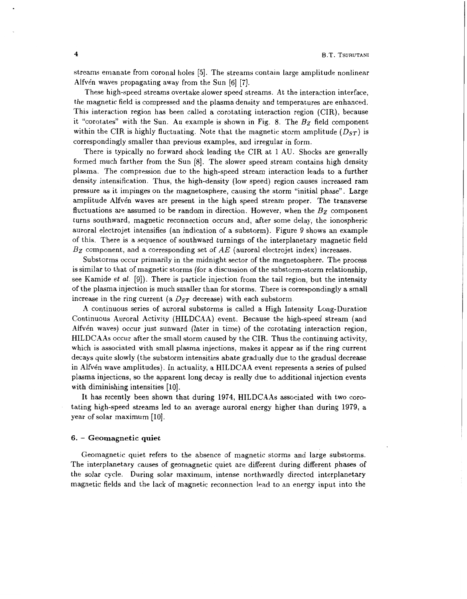streams emanate from coronal holes [SI. The streams contain large amplitude nonlinear Alfvén waves propagating away from the Sun  $[6]$   $[7]$ .

These high-speed streams overtake slower speed streams. At the interaction interface, the magnetic field is compressed and the plasma density and temperatures are enhanced. This interaction region has been called a corotating interaction region (CIR), because it "corotates" with the Sun. An example is shown in Fig. 8. The *Bz* field component within the CIR is highly fluctuating. Note that the magnetic storm amplitude  $(D_{ST})$  is correspondingly smaller than previous examples, and irregular in form.

There is typically no forward shock leading the CIR at 1 AU. Shocks are generally formed much farther from the Sun [8]. The slower speed stream contains high density plasma. The compression due to the high-speed stream interaction leads to a further density intensification. Thus, the high-density (low speed) region causes increased ram pressure as it impinges on the magnetosphere, causing the storm "initial phase". Large amplitude Alfvén waves are present in the high speed stream proper. The transverse fluctuations are assumed to be random in direction. However, when the *Bz* component turns southward, magnetic reconnection occurs and, after some delay, the ionospheric auroral electrojet intensifies (an indication of a substorm). Figure 9 shows an example of this. There is a sequence of southward turnings of the interplanetary magnetic field *Bz* component, and a corresponding set of *AE* (auroral electrojet index) increases.

Substorms occur primarily in the midnight sector of the magnetosphere. The process is similar to that of magnetic storms (for a discussion of the substorm-storm relationship, see Kamide *et* al. [9]). There is particle injection from the tail region, but the intensity of the plasma injection is much smaller than for storms. There is correspondingly a small increase in the ring current (a  $D_{ST}$  decrease) with each substorm.

**A** continuous series of auroral substorms is called a High Intensity Long-Duration Continuous Auroral Activity (HILDCAA) event. Because the high-speed stream (and Alfvén waves) occur just sunward (later in time) of the corotating interaction region, HILDCAAs occur after the small storm caused by the CIR. Thus the continuing activity, which is associated with small plasma injections, makes it appear as if the ring current decays quite slowly (the substorm intensities abate gradually due to the gradual decrease in Alfven wave amplitudes). In actuality, a HILDCAA event represents a series of pulsed plasma injections, *so* the apparent long decay is really due to additional injection events with diminishing intensities [10].

It has recently been shown that during 1974, HILDCAAs associated with two corotating high-speed streams led to an average auroral energy higher than during 1979, a year of solar maximum [IO].

#### **6.** - **Geomagnetic quiet**

Geomagnetic quiet refers to the absence of magnetic storms and large substorms. The interplanetary causes of geomagnetic quiet are different during different phases of the solar cycle. During solar maximum, intense northwardly directed interplanetary magnetic fields and the lack of magnetic reconnection lead to an energy input into the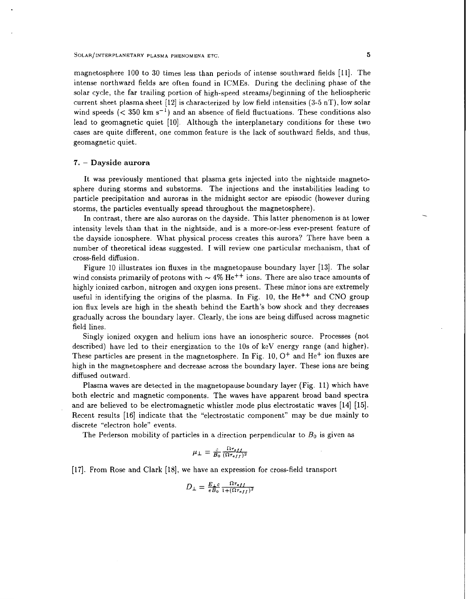# SOLAR/INTERPLANETARY PLASMA PHENOMENA ETC. **5**

magnetosphere **100** to **30** times less than periods of intense southward fields [I I]. The intense northward fields are often found in ICMEs. During the declining phase of the solar cycle, the far trailing portion of high-speed streams/beginning of the heliospheric current sheet plasma sheet **[12]** is characterized by low field intensities *(3-5* nT), low solar wind speeds  $(< 350 \text{ km s}^{-1})$  and an absence of field fluctuations. These conditions also lead to geomagnetic quiet **[lo].** Although the interplanetary conditions for these two cases are quite different, one common feature is the lack of southward fields, and thus, geomagnetic quiet.

# **7.** - **Dayside aurora**

It was previously mentioned that plasma gets injected into the nightside magnetosphere during storms and substorms. The injections and the instabilities leading to particle precipitation and auroras in the midnight sector are episodic (however during storms, the particles eventually spread throughout the magnetosphere).

In contrast, there are also auroras on the dayside. This latter phenomenon is at lower intensity levels than that in the nightside, and is a more-or-less ever-present feature of the dayside ionosphere. What physical process creates this aurora? There have been a number of theoretical ideas suggested. I will review one particular mechanism, that of cross-field diffusion.

Figure 10 illustrates ion fluxes in the magnetopause boundary layer **[13].** The solar wind consists primarily of protons with  $\sim 4\%$  He<sup>++</sup> ions. There are also trace amounts of highly ionized carbon, nitrogen and oxygen ions present. These minor ions are extremely useful in identifying the origins of the plasma. In Fig. **10,** the He++ and CNO group ion flux levels are high in the sheath behind the Earth's bow shock and they decreases gradually across the boundary layer. Clearly, the ions are being diffused across magnetic field lines.

Singly ionized oxygen and helium ions have an ionospheric source. Processes (not described) have led to their energization to the 10s of keV energy range (and higher). These particles are present in the magnetosphere. In Fig. **10,** O+ and He+ ion fluxes are high in the magnetosphere and decrease across the boundary layer. These ions are being diffused outward.

Plasma waves are detected in the magnetopause boundary layer (Fig. 11) which have both electric and magnetic components. The waves have apparent broad band spectra and are believed to be electromagnetic whistler mode plus electrostatic waves **[14] [15].**  Recent results **[16]** indicate that the "electrostatic component" may be due mainly to discrete "electron hole" events.

The Pederson mobility of particles in a direction perpendicular to  $B_0$  is given as

$$
\mu_{\perp} = \frac{c}{B_0} \frac{\Omega \tau_{eff}}{(\Omega \tau_{eff})^2}
$$

**[17].** From Rose and Clark [Id], we have an expression for cross-field transport

$$
D_{\perp} = \frac{E_{\perp}c}{eB_0} \frac{\Omega \tau_{eff}}{1 + (\Omega \tau_{eff})^2}
$$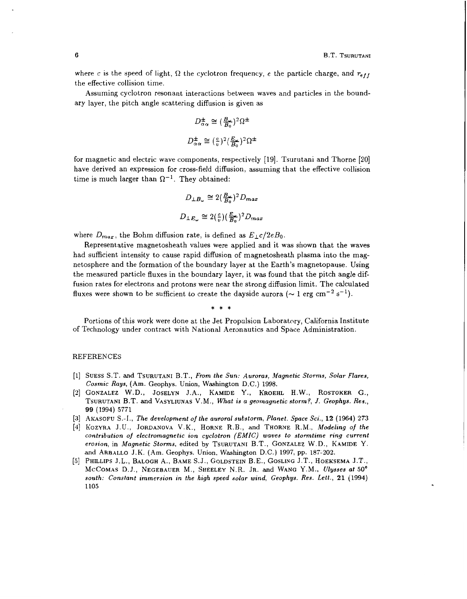where c is the speed of light,  $\Omega$  the cyclotron frequency, e the particle charge, and  $\tau_{eff}$ the effective collision time.

Assuming cyclotron resonant interactions between waves and particles in the boundary layer, the pitch angle scattering diffusion is given as

$$
D_{\alpha\alpha}^{\pm} \cong (\frac{B_{\alpha}}{B_{0}})^{2} \Omega^{\pm}
$$
  

$$
D_{\alpha\alpha}^{\pm} \cong (\frac{c}{v})^{2} (\frac{E_{\alpha}}{B_{0}})^{2} \Omega^{\pm}
$$

for magnetic and electric wave components, respectively 1191. Tsurutani and Thorne *[20]*  have derived an expression for cross-field diffusion, assuming that the effective collision time is much larger than  $\Omega^{-1}$ . They obtained:

$$
D_{\perp B_{\omega}} \cong 2(\frac{B_{\omega}}{B_0})^2 D_{max}
$$
  

$$
D_{\perp E_{\omega}} \cong 2(\frac{c}{v})(\frac{E_{\omega}}{B_0})^2 D_{max}
$$

where  $D_{max}$ , the Bohm diffusion rate, is defined as  $E_{\perp}c/2eB_0$ .

Representative magnetosheath values were applied and it was shown that the waves had sufficient intensity to cause rapid diffusion of magnetosheath plasma into the magnetosphere and the formation of the boundary layer at the Earth's magnetopause. Using the measured particle fluxes in the boundary layer, it was found that the pitch angle diffusion rates for electrons and protons were near the strong diffusion limit. The calculated fluxes were shown to be sufficient to create the dayside aurora ( $\sim$  1 erg cm<sup>-2</sup> s<sup>-1</sup>).

#### \*\*\*

Portions of this work were done at the Jet Propulsion Laboratory, California Institute of Technology under contract with National Aeronautics and Space Administration.

#### **REFERENCES**

- **[l] SUES S.T.** and **TSURUTANI B.T.,** *From the Sun: Auroras, Magnetic Storms, Solar Flares, Cosmic Rays,* **(Am.** Geophys. Union, Washington D.C.) **1998.**
- **[2] GONZALEZ** W.D., **JOSELYN J.A., KAMIDE** Y., **KROEHL H.W., ROSTOKER** *G.,*  **TSURUTANI B.T.** and **VASYLIUNAS V.M.,** *What is a geomagnetic storm?, J. Geophys. Res.,*  **99 (1994) 5771**
- **[3] AKASOFU** S.-I., *The development* of *the auroral substorm, Planet. Space Sci.,* **12 (1964) 273**
- **[4] KOZYRA J.U., JORDANOVA V.K., HORNE R.B.,** and **THORNE R.N..** *Modeling* of *the contribution* of *electromagnetic ion cyclotron (EMIC) waves to stormtime ring current erosion,* in *Magnetic Storms,* edited **by TSURUTANI B.T., GONZALEZ** W.D., **KAMIDE** Y. and ARBALLO J.K. (Am. Geophys. Union, Washington D.C.) 1997, pp. 187-202.
- [5] PHILLIPS J.L., BALOGH A., BAME S.J., GOLDSTEIN B.E., GOSLING J.T., HOEKSEMA J.T., **MCCOMAS D.J., NEGEBAUER M., SHEELEY N.R. JR.** and **WANG** Y.M., *Ulysses at* **50'**  *south: Constant immersion in the high speed solar wind, Geophys. Res. Lett.,* **21 (1994) 1105**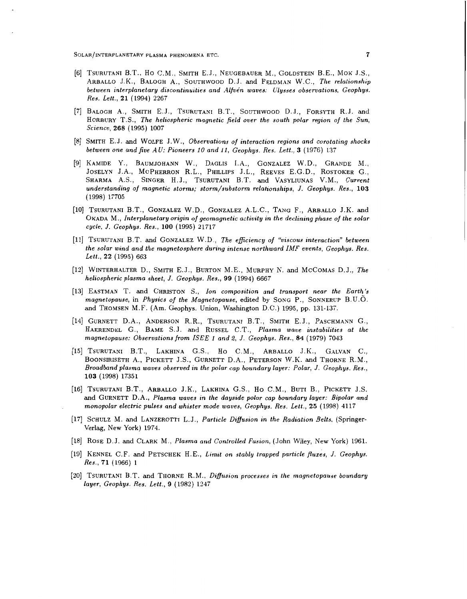SOLAR/INTERPLANETARY **PLASMA** PHENOMENA ETC. **7** 

- [6] TSURUTANI B.T., HO C.M., SMITH E.J., NEUGEBAUER M., GOLDSTEIN B.E., MOK J.S., ARBALLO J.K., BALOGH A., SOUTHWOOD D.J. and FELDMAN W.C., The relationship between interplanetary discontinuities and Alfvén waves: Ulysses observations, Geophys. Res. Lett., **21** (1994) 2267
- [7] BALOCH A., SMITH E.J., TSURUTANI B.T., SOUTHWOOD D..J., FORSYTH R. J. and HORBURY T.S., The heliospheric magnetic field over the south polar region of the Sun, Science, **268** (1995) 1007
- [8] SMITH E.J. and WOLFE J.W., Observations of interaction regions and corotating shocks between one and jive *AU:* Pioneers *10* and *11,* Geophys. Res. Lett., **3** (1976) 137
- [Q] KAMIDE Y., BAUMJOHANN W., DACLIS I.A., GONZALEZ W.D., GRANDE M., JOSELYN J.A., MCPHERRON R.L., PHILLIPS J.L., REEVES E.G.D., ROSTOKER G., SHARMA A.S., SINGER H.J., TSURUTANI B.T. and VASYLIUNAS V.M., Current understanding of magnetic storms; storm/substorm relationships, *J.* Geophys. Res., **103**  (1998) 17705
- [lo] TSURUTANI B.T., GONZALEZ W.D., GONZALEZ A.L.C., TANG F., ARBALLO J.K. and OKADA M., Interplanetary origin of geomagnetic activity in the declining phase of the solar cycle, *J.* Geophys. Res., **100** (1995) 21717
- [ll] TSURUTANI B.T. and GONZALEZ W.D., The eficiency of "viscous interaction" between the solar wind and the magnetosphere during intense northward IMF events, Geophys. Res. Lett., **22** (1995) 663
- [12] WINTERHALTER D., SMITH E.J., BURTON M.E., MURPHY N. and MCCOMAS D.J., The heliospheric plasma sheet, *J.* Geophys. Res., **99** (1994) 6667
- [13] EASTMAN T. and CHRISTON S., Ion composition and transport near the Earth's magnetopause, in Physics of the Magnetopause, edited by SONG P., SONNERUP B.U.O. and THOMSEN M.F. (Am. Geophys. Union, Washington D.C.) 1995, pp. 131-137.
- [14] GURNETT D.A., ANDERSON R.R., TSURUTANI B.T., SMITH E.J., PASCHWANN G., HAERENDEL G., BAME S.J. and RUSSEL C.T., Plasma wave instabilities at the magnetopause: Observations from ISEE *1* and *2, J.* Geophys. Res., **84** (1979) **io43**
- [15] TSURUTANI B.T., LAKHINA G.S., Ho C.M., ARBALLO J.K., GALVAN C., BOONSIRISETH A., PICKETT J.S., GURNETT D.A., PETERSON W.K. and THORNE R.M., Broadband plasma waves observed in the polar cap boundary layer: Polar, *J.* Geophys. Res., **103** (1998) 17351
- [16] TSURUTANI B.T., ARBALLO J.K., LAKHINA G.S., Ho C.M., BUTI B., PICKETT J.S. and GURNETT D.A., Plasma waves in the dayside polar cap boundary layer: Bipolar and monopolar electric pulses and whister mode waves, Geophys. Res. Lett., **25** (1998) 4117
- [17] SCHULZ M. and LANZEROTTI L.J., Particle Diffusion in the Radiation Belts. (Springer-Verlag, New York) 1974.
- [18] ROSE D.J. and CLARK M., Plasma and Controlled Fusion, (John Wiley, New York) 1961.
- [19] KENNEL C.F. and PETSCHEK H.E., Limit on stably trapped particle fluxes, *J.* Geophys. Res., **71** (1966) 1
- [20] TSURUTANI B.T. and THORNE R.M., Diffusion processes in the magnetopause boundary layer, Geophys. Res. Lett., **9** (1982) 1247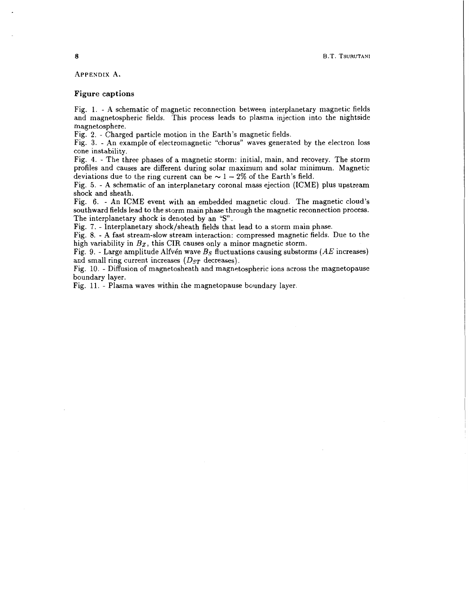## **APPENDIX A.**

#### **Figure captions**

Fig. 1. - **A** schematic of magnetic reconnection between interplanetary magnetic fields and magnetospheric fields. This process leads to plasma injection into the nightside magnetosphere.

Fig. **2.** - Charged particle motion in the Earth's magnetic fields.

Fig. **3.** - An example of electromagnetic "chorus" waves generated by the electron loss cone instability.

Fig. **4.** - The three phases of a magnetic storm: initial, main, and recovery. The storm profiles and causes are different during solar maximum and solar minimum. Magnetic deviations due to the ring current can be  $\sim 1 - 2\%$  of the Earth's field.

Fig. *5.* - **A** schematic of an interplanetary coronal mass ejection (ICME) plus upstream shock and sheath.

Fig. **6.** - An ICME event with an embedded magnetic cloud. The magnetic cloud's southward fields lead to the storm main phase through the magnetic reconnection process. The interplanetary shock is denoted by an "S".

Fig. 7. - Interplanetary shock/sheath fields that lead to a storm main phase.

Fig. 8. - A fast stream-slow stream interaction: compressed magnetic fields. Due to the high variability in *Bz,* this CIR causes only a minor magnetic storm.

Fig. 9. - Large amplitude Alfvén wave  $B<sub>S</sub>$  fluctuations causing substorms (AE increases) and small ring current increases  $(D_{ST}$  decreases).

Fig. 10. - Diffusion of magnetosheath and magnetospheric ions across the magnetopause boundary layer.

Fig. 11. - Plasma waves within the magnetopause boundary layer.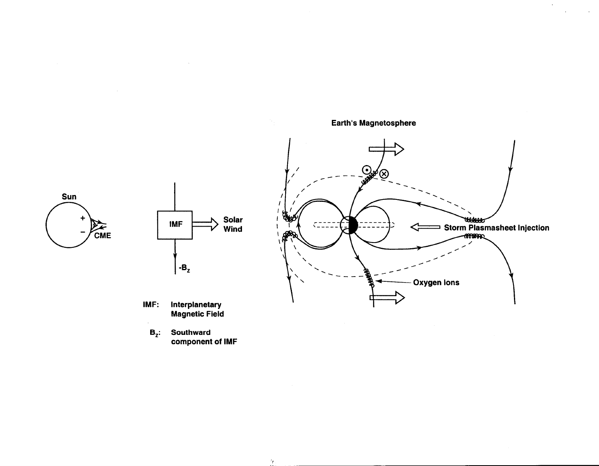

Earth's Magnetosphere

 $\mathcal{G}_{\mathbf{f}}$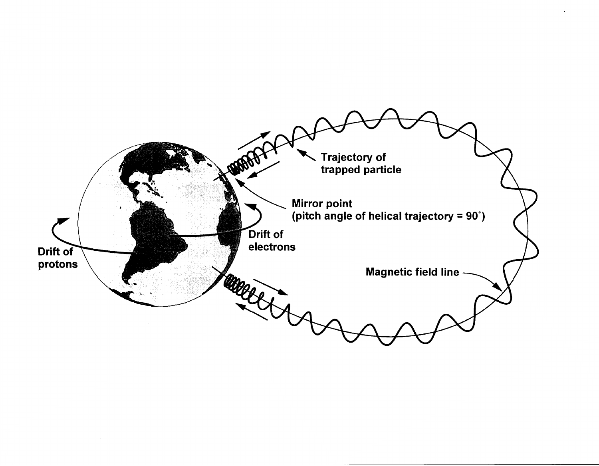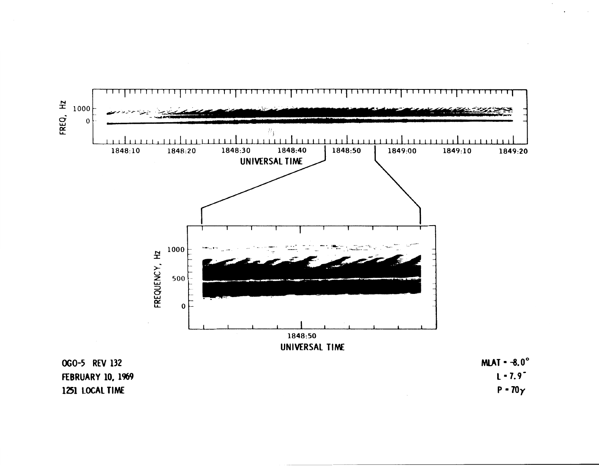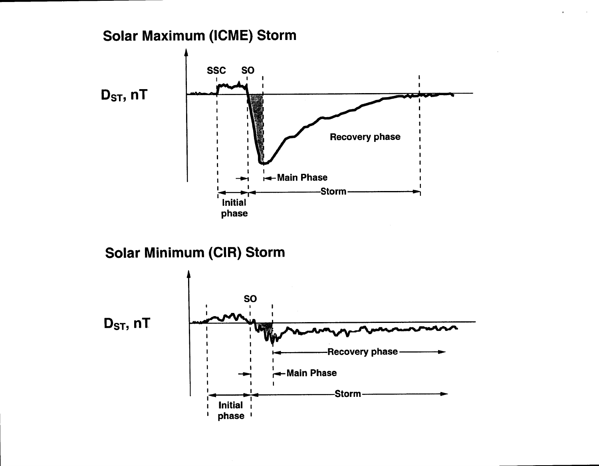

**Solar Minimum (CIR) Storm** 

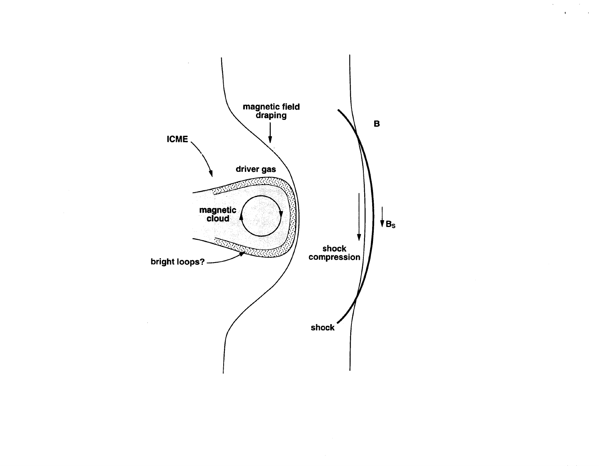

 $\sim 10^{-11}$ 

 $\sim 10^7$ 

 $\Delta \sim 1$ 

 $\mathbf{r}^{\prime}$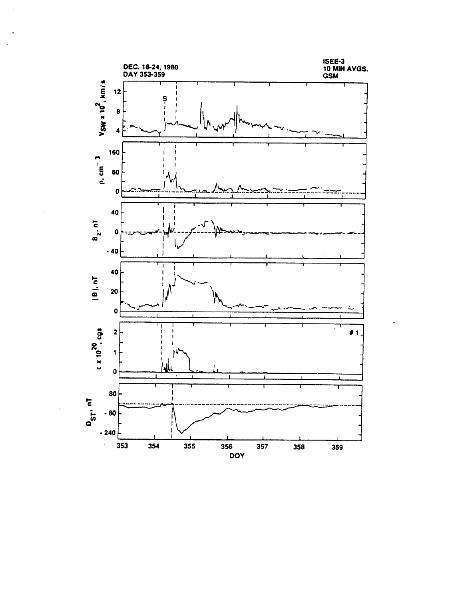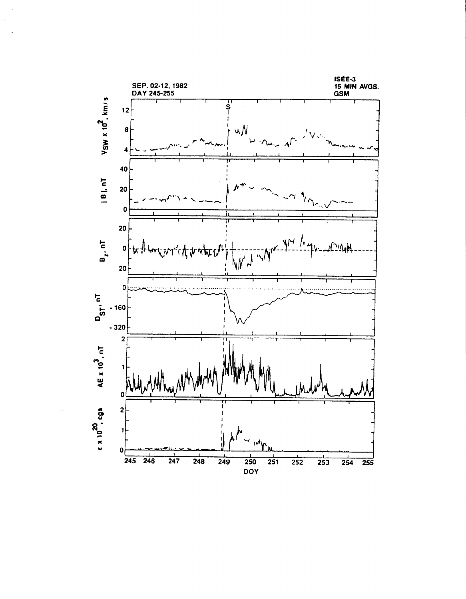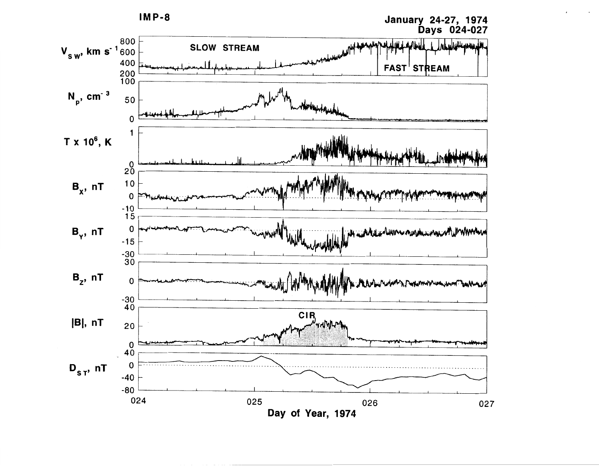<span id="page-15-0"></span>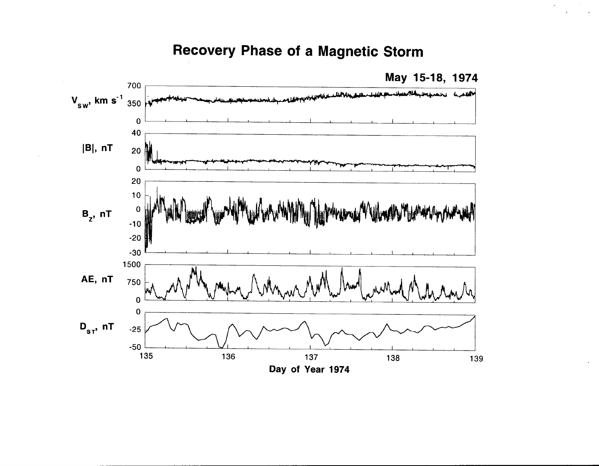# **Recovery Phase of a Magnetic Storm**